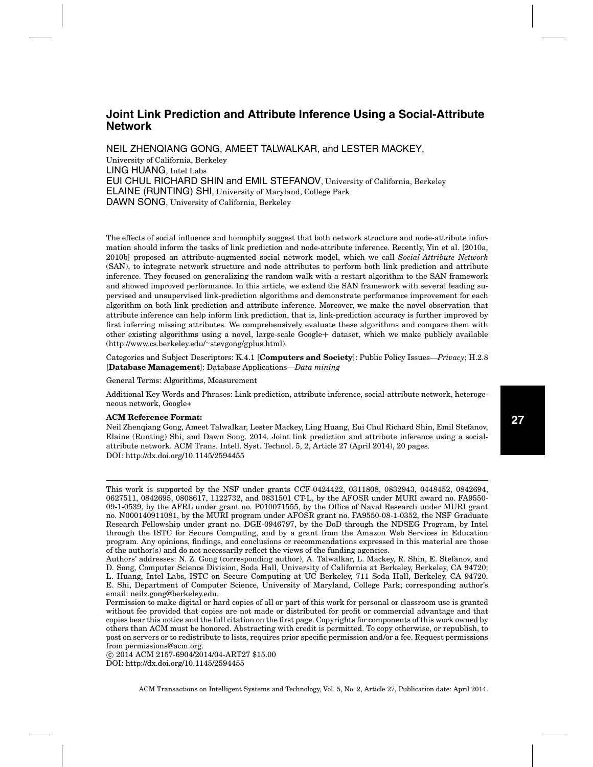# **Joint Link Prediction and Attribute Inference Using a Social-Attribute Network**

NEIL ZHENQIANG GONG, AMEET TALWALKAR, and LESTER MACKEY, University of California, Berkeley LING HUANG, Intel Labs EUI CHUL RICHARD SHIN and EMIL STEFANOV, University of California, Berkeley ELAINE (RUNTING) SHI, University of Maryland, College Park DAWN SONG, University of California, Berkeley

The effects of social influence and homophily suggest that both network structure and node-attribute information should inform the tasks of link prediction and node-attribute inference. Recently, Yin et al. [2010a, 2010b] proposed an attribute-augmented social network model, which we call *Social-Attribute Network* (SAN), to integrate network structure and node attributes to perform both link prediction and attribute inference. They focused on generalizing the random walk with a restart algorithm to the SAN framework and showed improved performance. In this article, we extend the SAN framework with several leading supervised and unsupervised link-prediction algorithms and demonstrate performance improvement for each algorithm on both link prediction and attribute inference. Moreover, we make the novel observation that attribute inference can help inform link prediction, that is, link-prediction accuracy is further improved by first inferring missing attributes. We comprehensively evaluate these algorithms and compare them with other existing algorithms using a novel, large-scale Google+ dataset, which we make publicly available (http://www.cs.berkeley.edu/∼stevgong/gplus.html).

Categories and Subject Descriptors: K.4.1 [**Computers and Society**]: Public Policy Issues—*Privacy*; H.2.8 [**Database Management**]: Database Applications—*Data mining*

General Terms: Algorithms, Measurement

Additional Key Words and Phrases: Link prediction, attribute inference, social-attribute network, heterogeneous network, Google+

#### **ACM Reference Format:**

Neil Zhenqiang Gong, Ameet Talwalkar, Lester Mackey, Ling Huang, Eui Chul Richard Shin, Emil Stefanov, Elaine (Runting) Shi, and Dawn Song. 2014. Joint link prediction and attribute inference using a socialattribute network. ACM Trans. Intell. Syst. Technol. 5, 2, Article 27 (April 2014), 20 pages. DOI: http://dx.doi.org/10.1145/2594455

-c 2014 ACM 2157-6904/2014/04-ART27 \$15.00 DOI: http://dx.doi.org/10.1145/2594455

This work is supported by the NSF under grants CCF-0424422, 0311808, 0832943, 0448452, 0842694, 0627511, 0842695, 0808617, 1122732, and 0831501 CT-L, by the AFOSR under MURI award no. FA9550- 09-1-0539, by the AFRL under grant no. P010071555, by the Office of Naval Research under MURI grant no. N000140911081, by the MURI program under AFOSR grant no. FA9550-08-1-0352, the NSF Graduate Research Fellowship under grant no. DGE-0946797, by the DoD through the NDSEG Program, by Intel through the ISTC for Secure Computing, and by a grant from the Amazon Web Services in Education program. Any opinions, findings, and conclusions or recommendations expressed in this material are those of the author(s) and do not necessarily reflect the views of the funding agencies.

Authors' addresses: N. Z. Gong (corresponding author), A. Talwalkar, L. Mackey, R. Shin, E. Stefanov, and D. Song, Computer Science Division, Soda Hall, University of California at Berkeley, Berkeley, CA 94720; L. Huang, Intel Labs, ISTC on Secure Computing at UC Berkeley, 711 Soda Hall, Berkeley, CA 94720. E. Shi, Department of Computer Science, University of Maryland, College Park; corresponding author's email: neilz.gong@berkeley.edu.

Permission to make digital or hard copies of all or part of this work for personal or classroom use is granted without fee provided that copies are not made or distributed for profit or commercial advantage and that copies bear this notice and the full citation on the first page. Copyrights for components of this work owned by others than ACM must be honored. Abstracting with credit is permitted. To copy otherwise, or republish, to post on servers or to redistribute to lists, requires prior specific permission and/or a fee. Request permissions from permissions@acm.org.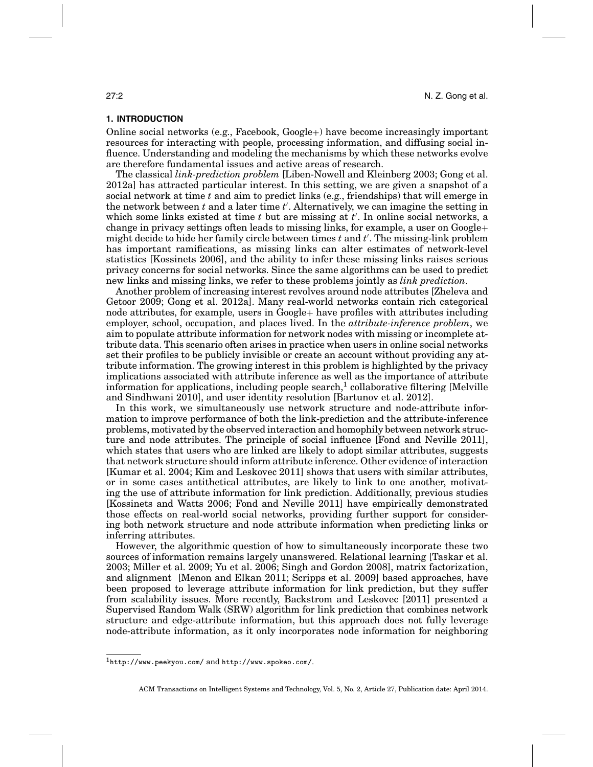## **1. INTRODUCTION**

Online social networks (e.g., Facebook, Google+) have become increasingly important resources for interacting with people, processing information, and diffusing social influence. Understanding and modeling the mechanisms by which these networks evolve are therefore fundamental issues and active areas of research.

The classical *link-prediction problem* [Liben-Nowell and Kleinberg 2003; Gong et al. 2012a] has attracted particular interest. In this setting, we are given a snapshot of a social network at time *t* and aim to predict links (e.g., friendships) that will emerge in the network between *t* and a later time *t* . Alternatively, we can imagine the setting in which some links existed at time *t* but are missing at *t* . In online social networks, a change in privacy settings often leads to missing links, for example, a user on Google+ might decide to hide her family circle between times *t* and *t* . The missing-link problem has important ramifications, as missing links can alter estimates of network-level statistics [Kossinets 2006], and the ability to infer these missing links raises serious privacy concerns for social networks. Since the same algorithms can be used to predict new links and missing links, we refer to these problems jointly as *link prediction*.

Another problem of increasing interest revolves around node attributes [Zheleva and Getoor 2009; Gong et al. 2012a]. Many real-world networks contain rich categorical node attributes, for example, users in Google+ have profiles with attributes including employer, school, occupation, and places lived. In the *attribute-inference problem*, we aim to populate attribute information for network nodes with missing or incomplete attribute data. This scenario often arises in practice when users in online social networks set their profiles to be publicly invisible or create an account without providing any attribute information. The growing interest in this problem is highlighted by the privacy implications associated with attribute inference as well as the importance of attribute information for applications, including people search, $<sup>1</sup>$  collaborative filtering [Melville</sup> and Sindhwani 2010], and user identity resolution [Bartunov et al. 2012].

In this work, we simultaneously use network structure and node-attribute information to improve performance of both the link-prediction and the attribute-inference problems, motivated by the observed interaction and homophily between network structure and node attributes. The principle of social influence [Fond and Neville 2011], which states that users who are linked are likely to adopt similar attributes, suggests that network structure should inform attribute inference. Other evidence of interaction [Kumar et al. 2004; Kim and Leskovec 2011] shows that users with similar attributes, or in some cases antithetical attributes, are likely to link to one another, motivating the use of attribute information for link prediction. Additionally, previous studies [Kossinets and Watts 2006; Fond and Neville 2011] have empirically demonstrated those effects on real-world social networks, providing further support for considering both network structure and node attribute information when predicting links or inferring attributes.

However, the algorithmic question of how to simultaneously incorporate these two sources of information remains largely unanswered. Relational learning [Taskar et al. 2003; Miller et al. 2009; Yu et al. 2006; Singh and Gordon 2008], matrix factorization, and alignment [Menon and Elkan 2011; Scripps et al. 2009] based approaches, have been proposed to leverage attribute information for link prediction, but they suffer from scalability issues. More recently, Backstrom and Leskovec [2011] presented a Supervised Random Walk (SRW) algorithm for link prediction that combines network structure and edge-attribute information, but this approach does not fully leverage node-attribute information, as it only incorporates node information for neighboring

 $\frac{1}{1}$ http://www.peekyou.com/ and http://www.spokeo.com/.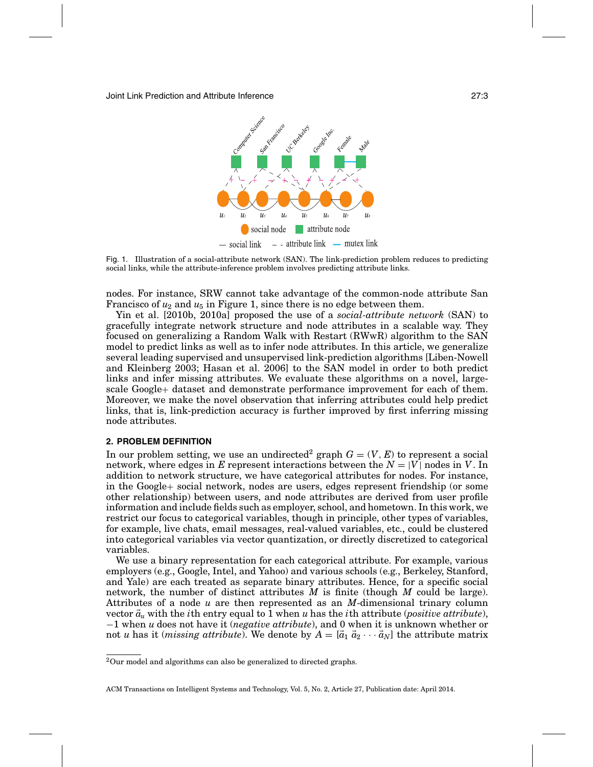

Fig. 1. Illustration of a social-attribute network (SAN). The link-prediction problem reduces to predicting social links, while the attribute-inference problem involves predicting attribute links.

nodes. For instance, SRW cannot take advantage of the common-node attribute San Francisco of  $u_2$  and  $u_5$  in Figure 1, since there is no edge between them.

Yin et al. [2010b, 2010a] proposed the use of a *social-attribute network* (SAN) to gracefully integrate network structure and node attributes in a scalable way. They focused on generalizing a Random Walk with Restart (RWwR) algorithm to the SAN model to predict links as well as to infer node attributes. In this article, we generalize several leading supervised and unsupervised link-prediction algorithms [Liben-Nowell and Kleinberg 2003; Hasan et al. 2006] to the SAN model in order to both predict links and infer missing attributes. We evaluate these algorithms on a novel, largescale Google+ dataset and demonstrate performance improvement for each of them. Moreover, we make the novel observation that inferring attributes could help predict links, that is, link-prediction accuracy is further improved by first inferring missing node attributes.

#### **2. PROBLEM DEFINITION**

In our problem setting, we use an undirected<sup>2</sup> graph  $G = (V, E)$  to represent a social network, where edges in *E* represent interactions between the  $N = |V|$  nodes in *V*. In addition to network structure, we have categorical attributes for nodes. For instance, in the Google+ social network, nodes are users, edges represent friendship (or some other relationship) between users, and node attributes are derived from user profile information and include fields such as employer, school, and hometown. In this work, we restrict our focus to categorical variables, though in principle, other types of variables, for example, live chats, email messages, real-valued variables, etc., could be clustered into categorical variables via vector quantization, or directly discretized to categorical variables.

We use a binary representation for each categorical attribute. For example, various employers (e.g., Google, Intel, and Yahoo) and various schools (e.g., Berkeley, Stanford, and Yale) are each treated as separate binary attributes. Hence, for a specific social network, the number of distinct attributes *M* is finite (though *M* could be large). Attributes of a node *u* are then represented as an *M*-dimensional trinary column vector *a<sup>u</sup>* with the *i*th entry equal to 1 when *u* has the *i*th attribute (*positive attribute*), −1 when *u* does not have it (*negative attribute*), and 0 when it is unknown whether or not *u* has it (*missing attribute*). We denote by  $A = [\vec{a}_1 \ \vec{a}_2 \ \cdots \ \vec{a}_N]$  the attribute matrix

 $2$ Our model and algorithms can also be generalized to directed graphs.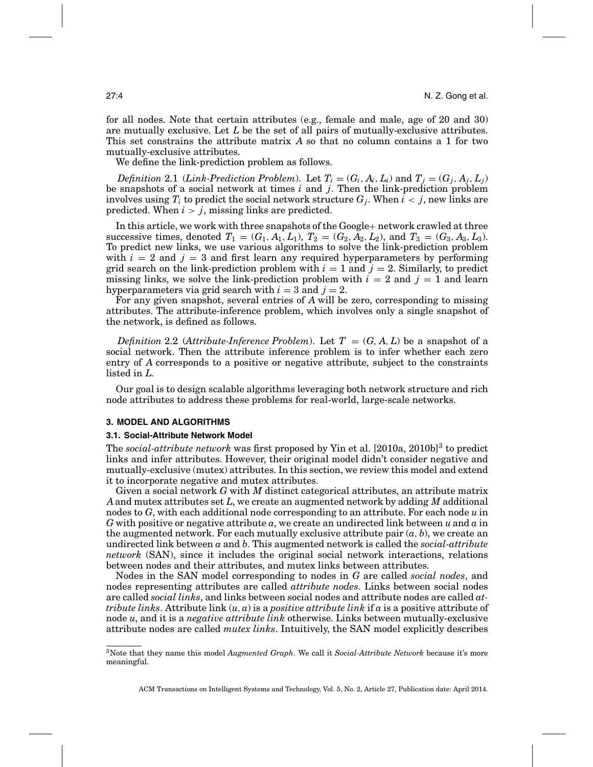for all nodes. Note that certain attributes (e.g., female and male, age of 20 and 30) are mutually exclusive. Let *L* be the set of all pairs of mutually-exclusive attributes. This set constrains the attribute matrix *A* so that no column contains a 1 for two mutually-exclusive attributes.

We define the link-prediction problem as follows.

*Definition* 2.1 (*Link-Prediction Problem*). Let  $T_i = (G_i, A_i, L_i)$  and  $T_j = (G_j, A_i, L_j)$ be snapshots of a social network at times *i* and *j*. Then the link-prediction problem involves using  $T_i$  to predict the social network structure  $G_i$ . When  $i < j$ , new links are predicted. When  $i > j$ , missing links are predicted.

In this article, we work with three snapshots of the Google+ network crawled at three successive times, denoted  $T_1 = (G_1, A_1, L_1), T_2 = (G_2, A_2, L_2),$  and  $T_3 = (G_3, A_3, L_3).$ To predict new links, we use various algorithms to solve the link-prediction problem with  $i = 2$  and  $j = 3$  and first learn any required hyperparameters by performing grid search on the link-prediction problem with  $i = 1$  and  $j = 2$ . Similarly, to predict missing links, we solve the link-prediction problem with  $i = 2$  and  $j = 1$  and learn hyperparameters via grid search with  $i = 3$  and  $j = 2$ .

For any given snapshot, several entries of *A* will be zero, corresponding to missing attributes. The attribute-inference problem, which involves only a single snapshot of the network, is defined as follows.

*Definition* 2.2 (*Attribute-Inference Problem*). Let  $T = (G, A, L)$  be a snapshot of a social network. Then the attribute inference problem is to infer whether each zero entry of *A* corresponds to a positive or negative attribute, subject to the constraints listed in *L*.

Our goal is to design scalable algorithms leveraging both network structure and rich node attributes to address these problems for real-world, large-scale networks.

#### **3. MODEL AND ALGORITHMS**

#### **3.1. Social-Attribute Network Model**

The *social-attribute network* was first proposed by Yin et al. [2010a, 2010b]<sup>3</sup> to predict links and infer attributes. However, their original model didn't consider negative and mutually-exclusive (mutex) attributes. In this section, we review this model and extend it to incorporate negative and mutex attributes.

Given a social network *G* with *M* distinct categorical attributes, an attribute matrix *A*and mutex attributes set *L*, we create an augmented network by adding *M* additional nodes to *G*, with each additional node corresponding to an attribute. For each node *u* in *G* with positive or negative attribute *a*, we create an undirected link between *u* and *a* in the augmented network. For each mutually exclusive attribute pair (*a*, *b*), we create an undirected link between *a* and *b*. This augmented network is called the *social-attribute network* (SAN), since it includes the original social network interactions, relations between nodes and their attributes, and mutex links between attributes.

Nodes in the SAN model corresponding to nodes in *G* are called *social nodes*, and nodes representing attributes are called *attribute nodes*. Links between social nodes are called *social links*, and links between social nodes and attribute nodes are called *attribute links*. Attribute link (*u*, *a*) is a *positive attribute link* if *a* is a positive attribute of node *u*, and it is a *negative attribute link* otherwise. Links between mutually-exclusive attribute nodes are called *mutex links*. Intuitively, the SAN model explicitly describes

<sup>3</sup>Note that they name this model *Augmented Graph*. We call it *Social-Attribute Network* because it's more meaningful.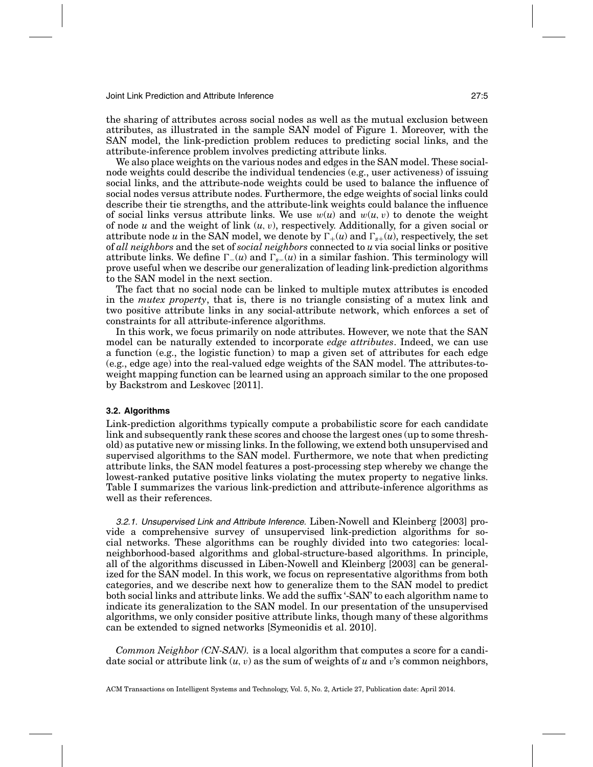Joint Link Prediction and Attribute Inference 27:5

the sharing of attributes across social nodes as well as the mutual exclusion between attributes, as illustrated in the sample SAN model of Figure 1. Moreover, with the SAN model, the link-prediction problem reduces to predicting social links, and the attribute-inference problem involves predicting attribute links.

We also place weights on the various nodes and edges in the SAN model. These socialnode weights could describe the individual tendencies (e.g., user activeness) of issuing social links, and the attribute-node weights could be used to balance the influence of social nodes versus attribute nodes. Furthermore, the edge weights of social links could describe their tie strengths, and the attribute-link weights could balance the influence of social links versus attribute links. We use  $w(u)$  and  $w(u, v)$  to denote the weight of node *u* and the weight of link (*u*, v), respectively. Additionally, for a given social or attribute node  $u$  in the SAN model, we denote by  $\Gamma_+(u)$  and  $\Gamma_{s+}(u)$ , respectively, the set of *all neighbors* and the set of *social neighbors* connected to *u* via social links or positive attribute links. We define  $\Gamma_-(u)$  and  $\Gamma_{s-}(u)$  in a similar fashion. This terminology will prove useful when we describe our generalization of leading link-prediction algorithms to the SAN model in the next section.

The fact that no social node can be linked to multiple mutex attributes is encoded in the *mutex property*, that is, there is no triangle consisting of a mutex link and two positive attribute links in any social-attribute network, which enforces a set of constraints for all attribute-inference algorithms.

In this work, we focus primarily on node attributes. However, we note that the SAN model can be naturally extended to incorporate *edge attributes*. Indeed, we can use a function (e.g., the logistic function) to map a given set of attributes for each edge (e.g., edge age) into the real-valued edge weights of the SAN model. The attributes-toweight mapping function can be learned using an approach similar to the one proposed by Backstrom and Leskovec [2011].

#### **3.2. Algorithms**

Link-prediction algorithms typically compute a probabilistic score for each candidate link and subsequently rank these scores and choose the largest ones (up to some threshold) as putative new or missing links. In the following, we extend both unsupervised and supervised algorithms to the SAN model. Furthermore, we note that when predicting attribute links, the SAN model features a post-processing step whereby we change the lowest-ranked putative positive links violating the mutex property to negative links. Table I summarizes the various link-prediction and attribute-inference algorithms as well as their references.

3.2.1. Unsupervised Link and Attribute Inference. Liben-Nowell and Kleinberg [2003] provide a comprehensive survey of unsupervised link-prediction algorithms for social networks. These algorithms can be roughly divided into two categories: localneighborhood-based algorithms and global-structure-based algorithms. In principle, all of the algorithms discussed in Liben-Nowell and Kleinberg [2003] can be generalized for the SAN model. In this work, we focus on representative algorithms from both categories, and we describe next how to generalize them to the SAN model to predict both social links and attribute links. We add the suffix '-SAN' to each algorithm name to indicate its generalization to the SAN model. In our presentation of the unsupervised algorithms, we only consider positive attribute links, though many of these algorithms can be extended to signed networks [Symeonidis et al. 2010].

*Common Neighbor (CN-SAN).* is a local algorithm that computes a score for a candidate social or attribute link  $(u, v)$  as the sum of weights of *u* and *v*'s common neighbors,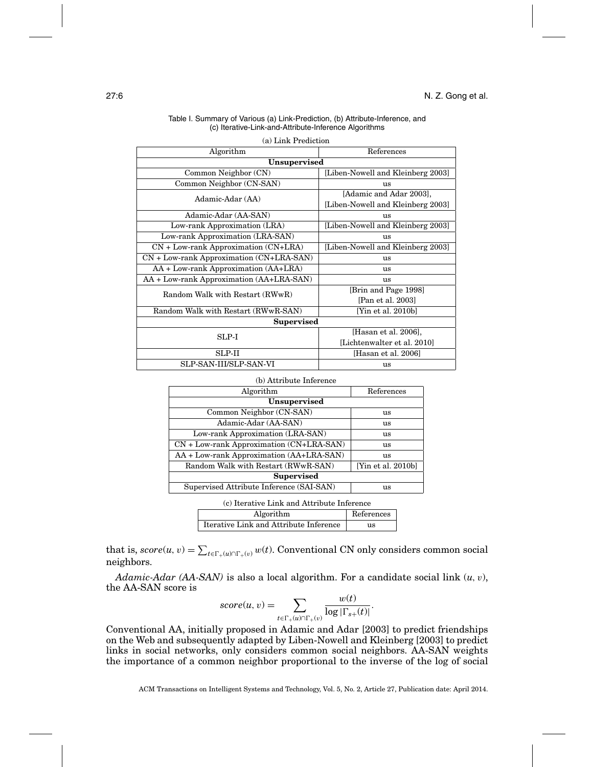| Algorithm                                | References                        |  |  |  |  |  |
|------------------------------------------|-----------------------------------|--|--|--|--|--|
| Unsupervised                             |                                   |  |  |  |  |  |
| Common Neighbor (CN)                     | [Liben-Nowell and Kleinberg 2003] |  |  |  |  |  |
| Common Neighbor (CN-SAN)                 | <b>us</b>                         |  |  |  |  |  |
| Adamic-Adar (AA)                         | [Adamic and Adar 2003],           |  |  |  |  |  |
|                                          | [Liben-Nowell and Kleinberg 2003] |  |  |  |  |  |
| Adamic-Adar (AA-SAN)                     | us                                |  |  |  |  |  |
| Low-rank Approximation (LRA)             | [Liben-Nowell and Kleinberg 2003] |  |  |  |  |  |
| Low-rank Approximation (LRA-SAN)         | $_{\rm us}$                       |  |  |  |  |  |
| $CN + Low-rank Approximation (CN+LRA)$   | [Liben-Nowell and Kleinberg 2003] |  |  |  |  |  |
| CN + Low-rank Approximation (CN+LRA-SAN) | us                                |  |  |  |  |  |
| AA + Low-rank Approximation (AA+LRA)     | us                                |  |  |  |  |  |
| AA + Low-rank Approximation (AA+LRA-SAN) | us                                |  |  |  |  |  |
| Random Walk with Restart (RWwR)          | [Brin and Page 1998]              |  |  |  |  |  |
|                                          | [Pan et al. 2003]                 |  |  |  |  |  |
| Random Walk with Restart (RWwR-SAN)      | [Yin et al. 2010b]                |  |  |  |  |  |
| <b>Supervised</b>                        |                                   |  |  |  |  |  |
| SLP-I                                    | [Hasan et al. 2006],              |  |  |  |  |  |
|                                          | [Lichtenwalter et al. 2010]       |  |  |  |  |  |
| <b>SLP-II</b>                            | [Hasan et al. 2006]               |  |  |  |  |  |
| SLP-SAN-III/SLP-SAN-VI                   | <b>us</b>                         |  |  |  |  |  |

Table I. Summary of Various (a) Link-Prediction, (b) Attribute-Inference, and (c) Iterative-Link-and-Attribute-Inference Algorithms (a) Link Prediction

#### (b) Attribute Inference

| Algorithm                                | References         |  |  |  |
|------------------------------------------|--------------------|--|--|--|
| Unsupervised                             |                    |  |  |  |
| Common Neighbor (CN-SAN)                 | us                 |  |  |  |
| Adamic-Adar (AA-SAN)                     | us                 |  |  |  |
| Low-rank Approximation (LRA-SAN)         | us                 |  |  |  |
| CN + Low-rank Approximation (CN+LRA-SAN) | us                 |  |  |  |
| AA + Low-rank Approximation (AA+LRA-SAN) | us                 |  |  |  |
| Random Walk with Restart (RWwR-SAN)      | [Yin et al. 2010b] |  |  |  |
| <b>Supervised</b>                        |                    |  |  |  |
| Supervised Attribute Inference (SAI-SAN) | us                 |  |  |  |

| (c) Iterative Link and Attribute Inference |    |  |  |  |
|--------------------------------------------|----|--|--|--|
| References<br>Algorithm                    |    |  |  |  |
| Iterative Link and Attribute Inference     | us |  |  |  |

that is,  $score(u, v) = \sum_{t \in \Gamma_+(u) \cap \Gamma_+(v)} w(t)$ . Conventional CN only considers common social neighbors.

*Adamic-Adar (AA-SAN)* is also a local algorithm. For a candidate social link (*u*, v), the AA-SAN score is

$$
score(u, v) = \sum_{t \in \Gamma_+(u) \cap \Gamma_+(v)} \frac{w(t)}{\log |\Gamma_{s+}(t)|}.
$$

Conventional AA, initially proposed in Adamic and Adar [2003] to predict friendships on the Web and subsequently adapted by Liben-Nowell and Kleinberg [2003] to predict links in social networks, only considers common social neighbors. AA-SAN weights the importance of a common neighbor proportional to the inverse of the log of social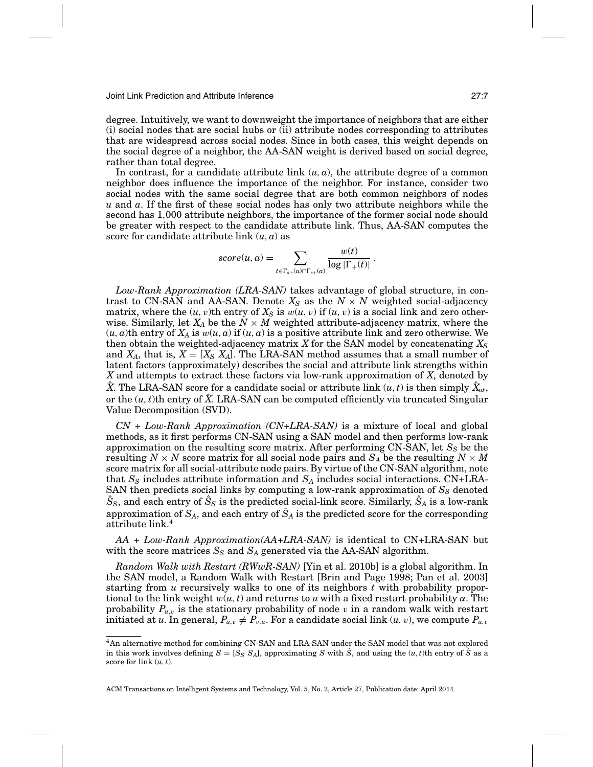#### Joint Link Prediction and Attribute Inference 27:7

degree. Intuitively, we want to downweight the importance of neighbors that are either (i) social nodes that are social hubs or (ii) attribute nodes corresponding to attributes that are widespread across social nodes. Since in both cases, this weight depends on the social degree of a neighbor, the AA-SAN weight is derived based on social degree, rather than total degree.

In contrast, for a candidate attribute link  $(u, a)$ , the attribute degree of a common neighbor does influence the importance of the neighbor. For instance, consider two social nodes with the same social degree that are both common neighbors of nodes *u* and *a*. If the first of these social nodes has only two attribute neighbors while the second has 1,000 attribute neighbors, the importance of the former social node should be greater with respect to the candidate attribute link. Thus, AA-SAN computes the score for candidate attribute link  $(u, a)$  as

$$
score(u, a) = \sum_{t \in \Gamma_{s+}(u) \cap \Gamma_{s+}(a)} \frac{w(t)}{\log |\Gamma_{+}(t)|}.
$$

*Low-Rank Approximation (LRA-SAN)* takes advantage of global structure, in contrast to CN-SAN and AA-SAN. Denote  $X_S$  as the  $N \times N$  weighted social-adjacency matrix, where the  $(u, v)$ th entry of  $X_S$  is  $w(u, v)$  if  $(u, v)$  is a social link and zero otherwise. Similarly, let  $X_A$  be the  $N \times M$  weighted attribute-adjacency matrix, where the  $(u, a)$ th entry of  $X_A$  is  $w(u, a)$  if  $(u, a)$  is a positive attribute link and zero otherwise. We then obtain the weighted-adjacency matrix *X* for the SAN model by concatenating *XS* and  $X_A$ , that is,  $X = [X_S \ X_A]$ . The LRA-SAN method assumes that a small number of latent factors (approximately) describes the social and attribute link strengths within *X* and attempts to extract these factors via low-rank approximation of *X*, denoted by  $\hat{X}$ . The LRA-SAN score for a candidate social or attribute link  $(u, t)$  is then simply  $\hat{X}_{ut}$ , or the  $(u, t)$ th entry of  $\hat{X}$ . LRA-SAN can be computed efficiently via truncated Singular Value Decomposition (SVD).

*CN + Low-Rank Approximation (CN+LRA-SAN)* is a mixture of local and global methods, as it first performs CN-SAN using a SAN model and then performs low-rank approximation on the resulting score matrix. After performing  $CN-SAN$ , let  $S_S$  be the resulting  $N \times N$  score matrix for all social node pairs and  $S_A$  be the resulting  $N \times M$ score matrix for all social-attribute node pairs. By virtue of the CN-SAN algorithm, note that *SS* includes attribute information and *SA* includes social interactions. CN+LRA-SAN then predicts social links by computing a low-rank approximation of  $S_S$  denoted  $\hat{S}_S$ , and each entry of  $\hat{S}_S$  is the predicted social-link score. Similarly,  $\hat{S}_A$  is a low-rank approximation of  $S_A$ , and each entry of  $\hat{S}_A$  is the predicted score for the corresponding attribute link.4

*AA + Low-Rank Approximation(AA+LRA-SAN)* is identical to CN+LRA-SAN but with the score matrices  $S_S$  and  $S_A$  generated via the AA-SAN algorithm.

*Random Walk with Restart (RWwR-SAN)* [Yin et al. 2010b] is a global algorithm. In the SAN model, a Random Walk with Restart [Brin and Page 1998; Pan et al. 2003] starting from *u* recursively walks to one of its neighbors *t* with probability proportional to the link weight  $w(u, t)$  and returns to *u* with a fixed restart probability  $\alpha$ . The probability  $P_{u,v}$  is the stationary probability of node v in a random walk with restart initiated at *u*. In general,  $P_{u,v} \neq P_{v,u}$ . For a candidate social link  $(u, v)$ , we compute  $P_{u,v}$ 

<sup>4</sup>An alternative method for combining CN-SAN and LRA-SAN under the SAN model that was not explored in this work involves defining  $S = [S_S S_A]$ , approximating *S* with  $\hat{S}$ , and using the  $(u, t)$ th entry of  $\hat{S}$  as a score for link (*u*,*t*).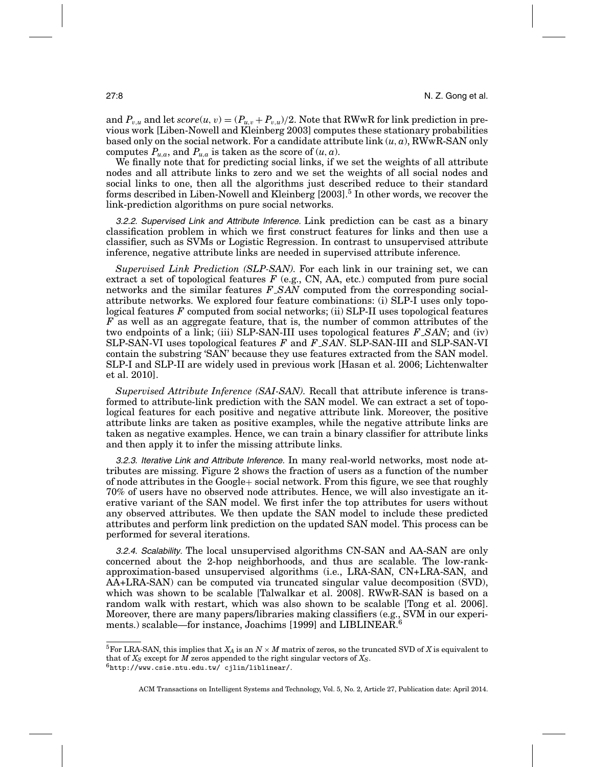and  $P_{v,u}$  and let  $score(u, v) = (P_{u,v} + P_{v,u})/2$ . Note that RWwR for link prediction in previous work [Liben-Nowell and Kleinberg 2003] computes these stationary probabilities based only on the social network. For a candidate attribute link (*u*, *a*), RWwR-SAN only computes  $P_{u,a}$ , and  $P_{u,a}$  is taken as the score of  $(u, a)$ .

We finally note that for predicting social links, if we set the weights of all attribute nodes and all attribute links to zero and we set the weights of all social nodes and social links to one, then all the algorithms just described reduce to their standard forms described in Liben-Nowell and Kleinberg [2003].<sup>5</sup> In other words, we recover the link-prediction algorithms on pure social networks.

3.2.2. Supervised Link and Attribute Inference. Link prediction can be cast as a binary classification problem in which we first construct features for links and then use a classifier, such as SVMs or Logistic Regression. In contrast to unsupervised attribute inference, negative attribute links are needed in supervised attribute inference.

*Supervised Link Prediction (SLP-SAN).* For each link in our training set, we can extract a set of topological features  $F$  (e.g., CN, AA, etc.) computed from pure social networks and the similar features *F SAN* computed from the corresponding socialattribute networks. We explored four feature combinations: (i) SLP-I uses only topological features *F* computed from social networks; (ii) SLP-II uses topological features *F* as well as an aggregate feature, that is, the number of common attributes of the two endpoints of a link; (iii) SLP-SAN-III uses topological features *F SAN*; and (iv) SLP-SAN-VI uses topological features *F* and *F SAN*. SLP-SAN-III and SLP-SAN-VI contain the substring 'SAN' because they use features extracted from the SAN model. SLP-I and SLP-II are widely used in previous work [Hasan et al. 2006; Lichtenwalter et al. 2010].

*Supervised Attribute Inference (SAI-SAN).* Recall that attribute inference is transformed to attribute-link prediction with the SAN model. We can extract a set of topological features for each positive and negative attribute link. Moreover, the positive attribute links are taken as positive examples, while the negative attribute links are taken as negative examples. Hence, we can train a binary classifier for attribute links and then apply it to infer the missing attribute links.

3.2.3. Iterative Link and Attribute Inference. In many real-world networks, most node attributes are missing. Figure 2 shows the fraction of users as a function of the number of node attributes in the Google+ social network. From this figure, we see that roughly 70% of users have no observed node attributes. Hence, we will also investigate an iterative variant of the SAN model. We first infer the top attributes for users without any observed attributes. We then update the SAN model to include these predicted attributes and perform link prediction on the updated SAN model. This process can be performed for several iterations.

3.2.4. Scalability. The local unsupervised algorithms CN-SAN and AA-SAN are only concerned about the 2-hop neighborhoods, and thus are scalable. The low-rankapproximation-based unsupervised algorithms (i.e., LRA-SAN, CN+LRA-SAN, and AA+LRA-SAN) can be computed via truncated singular value decomposition (SVD), which was shown to be scalable [Talwalkar et al. 2008]. RWwR-SAN is based on a random walk with restart, which was also shown to be scalable [Tong et al. 2006]. Moreover, there are many papers/libraries making classifiers (e.g., SVM in our experiments.) scalable—for instance, Joachims [1999] and LIBLINEAR.<sup>6</sup>

 ${}^{5}$ For LRA-SAN, this implies that  $X_A$  is an  $N \times M$  matrix of zeros, so the truncated SVD of  $X$  is equivalent to that of  $X_S$  except for  $\overline{M}$  zeros appended to the right singular vectors of  $X_S$ .<br><sup>6</sup>http://www.csie.ntu.edu.tw/ cjlin/liblinear/.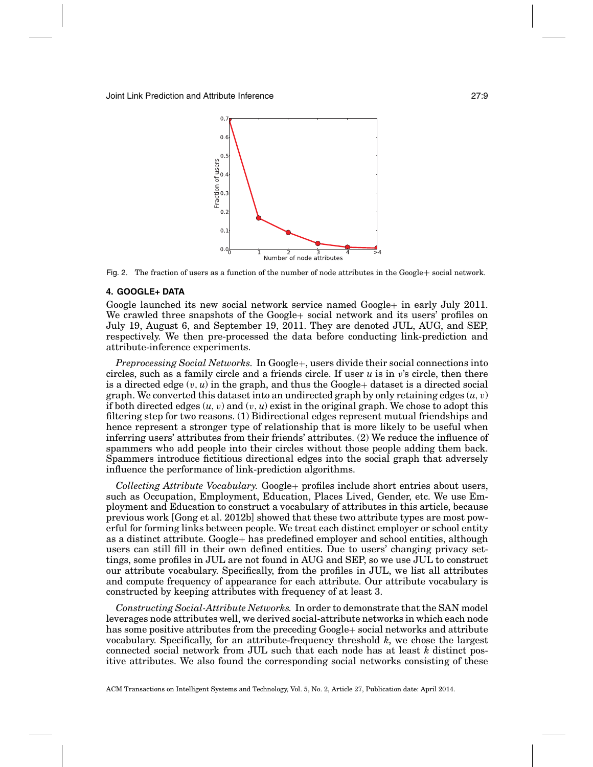

Fig. 2. The fraction of users as a function of the number of node attributes in the Google+ social network.

#### **4. GOOGLE+ DATA**

Google launched its new social network service named Google+ in early July 2011. We crawled three snapshots of the Google+ social network and its users' profiles on July 19, August 6, and September 19, 2011. They are denoted JUL, AUG, and SEP, respectively. We then pre-processed the data before conducting link-prediction and attribute-inference experiments.

*Preprocessing Social Networks.* In Google+, users divide their social connections into circles, such as a family circle and a friends circle. If user *u* is in v's circle, then there is a directed edge  $(v, u)$  in the graph, and thus the Google+ dataset is a directed social graph. We converted this dataset into an undirected graph by only retaining edges  $(u, v)$ if both directed edges  $(u, v)$  and  $(v, u)$  exist in the original graph. We chose to adopt this filtering step for two reasons. (1) Bidirectional edges represent mutual friendships and hence represent a stronger type of relationship that is more likely to be useful when inferring users' attributes from their friends' attributes. (2) We reduce the influence of spammers who add people into their circles without those people adding them back. Spammers introduce fictitious directional edges into the social graph that adversely influence the performance of link-prediction algorithms.

*Collecting Attribute Vocabulary.* Google+ profiles include short entries about users, such as Occupation, Employment, Education, Places Lived, Gender, etc. We use Employment and Education to construct a vocabulary of attributes in this article, because previous work [Gong et al. 2012b] showed that these two attribute types are most powerful for forming links between people. We treat each distinct employer or school entity as a distinct attribute. Google+ has predefined employer and school entities, although users can still fill in their own defined entities. Due to users' changing privacy settings, some profiles in JUL are not found in AUG and SEP, so we use JUL to construct our attribute vocabulary. Specifically, from the profiles in JUL, we list all attributes and compute frequency of appearance for each attribute. Our attribute vocabulary is constructed by keeping attributes with frequency of at least 3.

*Constructing Social-Attribute Networks.* In order to demonstrate that the SAN model leverages node attributes well, we derived social-attribute networks in which each node has some positive attributes from the preceding Google+ social networks and attribute vocabulary. Specifically, for an attribute-frequency threshold *k*, we chose the largest connected social network from JUL such that each node has at least *k* distinct positive attributes. We also found the corresponding social networks consisting of these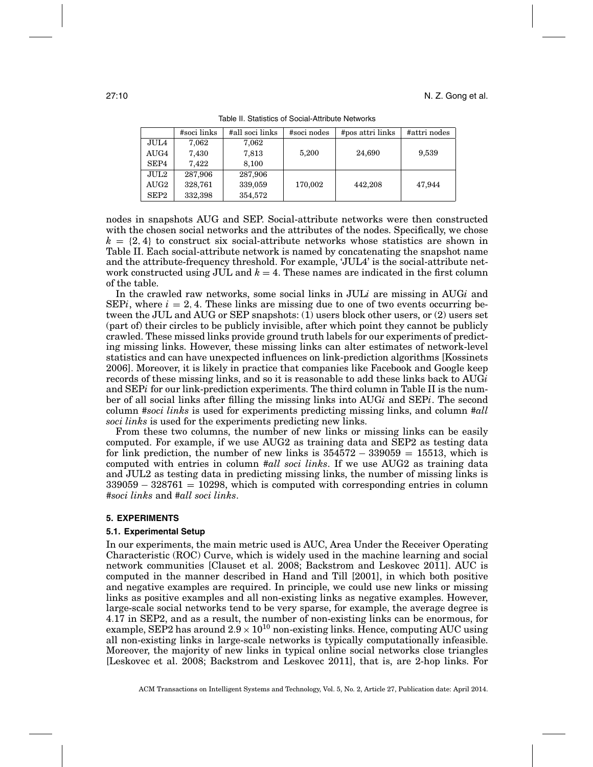|                  | #soci links | #all soci links | #soci nodes | #pos attri links | #attri nodes |
|------------------|-------------|-----------------|-------------|------------------|--------------|
| JUL4             | 7,062       | 7,062           |             |                  |              |
| AUG4             | 7,430       | 7,813           | 5,200       | 24,690           | 9,539        |
| SEP <sub>4</sub> | 7.422       | 8,100           |             |                  |              |
| $_{\rm JUL2}$    | 287,906     | 287,906         |             |                  |              |
| $\rm{AUG2}$      | 328,761     | 339,059         | 170,002     | 442.208          | 47,944       |
| SEP <sub>2</sub> | 332,398     | 354,572         |             |                  |              |

Table II. Statistics of Social-Attribute Networks

nodes in snapshots AUG and SEP. Social-attribute networks were then constructed with the chosen social networks and the attributes of the nodes. Specifically, we chose  $k = \{2, 4\}$  to construct six social-attribute networks whose statistics are shown in Table II. Each social-attribute network is named by concatenating the snapshot name and the attribute-frequency threshold. For example, 'JUL4' is the social-attribute network constructed using JUL and  $k = 4$ . These names are indicated in the first column of the table.

In the crawled raw networks, some social links in JUL*i* are missing in AUG*i* and SEP*i*, where  $i = 2, 4$ . These links are missing due to one of two events occurring between the JUL and AUG or SEP snapshots: (1) users block other users, or (2) users set (part of) their circles to be publicly invisible, after which point they cannot be publicly crawled. These missed links provide ground truth labels for our experiments of predicting missing links. However, these missing links can alter estimates of network-level statistics and can have unexpected influences on link-prediction algorithms [Kossinets 2006]. Moreover, it is likely in practice that companies like Facebook and Google keep records of these missing links, and so it is reasonable to add these links back to AUG*i* and SEP*i* for our link-prediction experiments. The third column in Table II is the number of all social links after filling the missing links into AUG*i* and SEP*i*. The second column *#soci links* is used for experiments predicting missing links, and column *#all soci links* is used for the experiments predicting new links.

From these two columns, the number of new links or missing links can be easily computed. For example, if we use AUG2 as training data and SEP2 as testing data for link prediction, the number of new links is  $354572 - 339059 = 15513$ , which is computed with entries in column *#all soci links*. If we use AUG2 as training data and JUL2 as testing data in predicting missing links, the number of missing links is  $339059 - 328761 = 10298$ , which is computed with corresponding entries in column *#soci links* and *#all soci links*.

# **5. EXPERIMENTS**

## **5.1. Experimental Setup**

In our experiments, the main metric used is AUC, Area Under the Receiver Operating Characteristic (ROC) Curve, which is widely used in the machine learning and social network communities [Clauset et al. 2008; Backstrom and Leskovec 2011]. AUC is computed in the manner described in Hand and Till [2001], in which both positive and negative examples are required. In principle, we could use new links or missing links as positive examples and all non-existing links as negative examples. However, large-scale social networks tend to be very sparse, for example, the average degree is 4.17 in SEP2, and as a result, the number of non-existing links can be enormous, for example, SEP2 has around  $2.9 \times 10^{10}$  non-existing links. Hence, computing AUC using all non-existing links in large-scale networks is typically computationally infeasible. Moreover, the majority of new links in typical online social networks close triangles [Leskovec et al. 2008; Backstrom and Leskovec 2011], that is, are 2-hop links. For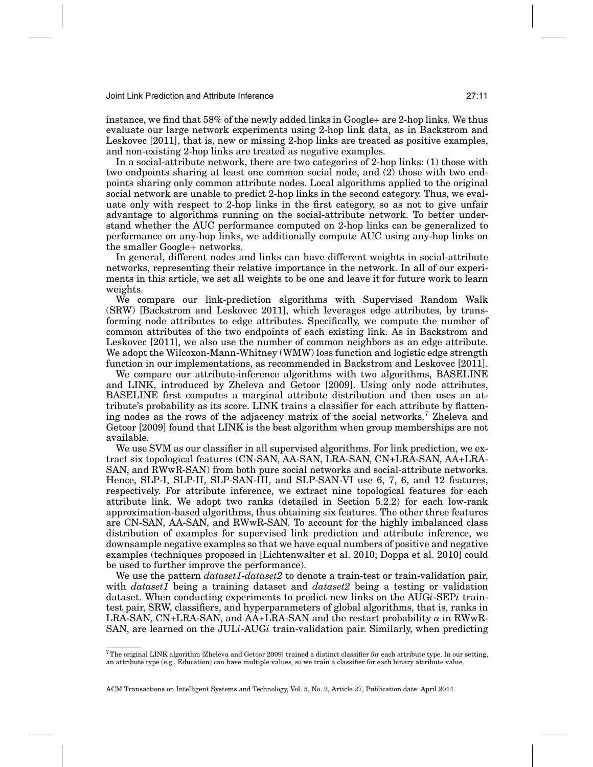instance, we find that 58% of the newly added links in Google+ are 2-hop links. We thus evaluate our large network experiments using 2-hop link data, as in Backstrom and Leskovec [2011], that is, new or missing 2-hop links are treated as positive examples, and non-existing 2-hop links are treated as negative examples.

In a social-attribute network, there are two categories of 2-hop links: (1) those with two endpoints sharing at least one common social node, and (2) those with two endpoints sharing only common attribute nodes. Local algorithms applied to the original social network are unable to predict 2-hop links in the second category. Thus, we evaluate only with respect to 2-hop links in the first category, so as not to give unfair advantage to algorithms running on the social-attribute network. To better understand whether the AUC performance computed on 2-hop links can be generalized to performance on any-hop links, we additionally compute AUC using any-hop links on the smaller Google+ networks.

In general, different nodes and links can have different weights in social-attribute networks, representing their relative importance in the network. In all of our experiments in this article, we set all weights to be one and leave it for future work to learn weights.

We compare our link-prediction algorithms with Supervised Random Walk (SRW) [Backstrom and Leskovec 2011], which leverages edge attributes, by transforming node attributes to edge attributes. Specifically, we compute the number of common attributes of the two endpoints of each existing link. As in Backstrom and Leskovec [2011], we also use the number of common neighbors as an edge attribute. We adopt the Wilcoxon-Mann-Whitney (WMW) loss function and logistic edge strength function in our implementations, as recommended in Backstrom and Leskovec [2011].

We compare our attribute-inference algorithms with two algorithms, BASELINE and LINK, introduced by Zheleva and Getoor [2009]. Using only node attributes, BASELINE first computes a marginal attribute distribution and then uses an attribute's probability as its score. LINK trains a classifier for each attribute by flattening nodes as the rows of the adjacency matrix of the social networks.7 Zheleva and Getoor [2009] found that LINK is the best algorithm when group memberships are not available.

We use SVM as our classifier in all supervised algorithms. For link prediction, we extract six topological features (CN-SAN, AA-SAN, LRA-SAN, CN+LRA-SAN, AA+LRA-SAN, and RWwR-SAN) from both pure social networks and social-attribute networks. Hence, SLP-I, SLP-II, SLP-SAN-III, and SLP-SAN-VI use 6, 7, 6, and 12 features, respectively. For attribute inference, we extract nine topological features for each attribute link. We adopt two ranks (detailed in Section 5.2.2) for each low-rank approximation-based algorithms, thus obtaining six features. The other three features are CN-SAN, AA-SAN, and RWwR-SAN. To account for the highly imbalanced class distribution of examples for supervised link prediction and attribute inference, we downsample negative examples so that we have equal numbers of positive and negative examples (techniques proposed in [Lichtenwalter et al. 2010; Doppa et al. 2010] could be used to further improve the performance).

We use the pattern *dataset1*-*dataset2* to denote a train-test or train-validation pair, with *dataset1* being a training dataset and *dataset2* being a testing or validation dataset. When conducting experiments to predict new links on the AUG*i*-SEP*i* traintest pair, SRW, classifiers, and hyperparameters of global algorithms, that is, ranks in LRA-SAN, CN+LRA-SAN, and AA+LRA-SAN and the restart probability  $\alpha$  in RWwR-SAN, are learned on the JUL*i*-AUG*i* train-validation pair. Similarly, when predicting

 $^{7}$ The original LINK algorithm [Zheleva and Getoor 2009] trained a distinct classifier for each attribute type. In our setting, an attribute type (e.g., Education) can have multiple values, so we train a classifier for each binary attribute value.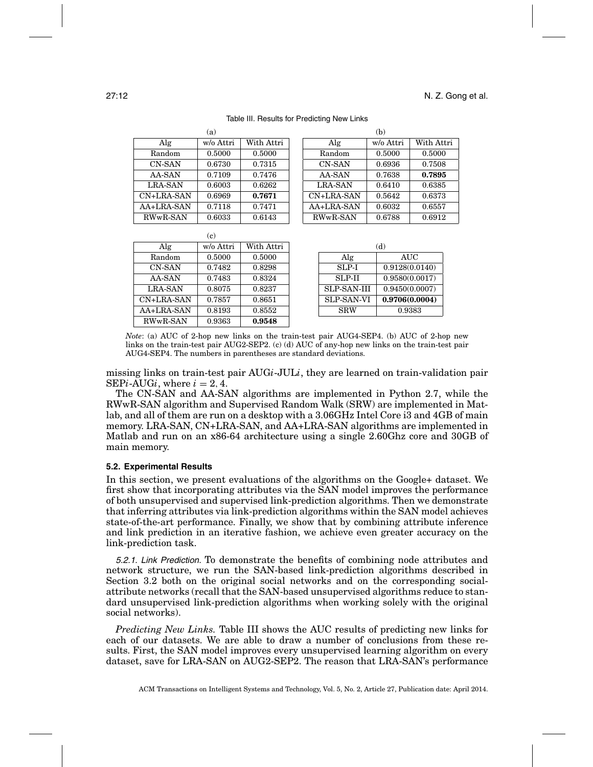|                | (a)       |            |
|----------------|-----------|------------|
| Alg            | w/o Attri | With Attri |
| Random         | 0.5000    | 0.5000     |
| CN-SAN         | 0.6730    | 0.7315     |
| AA-SAN         | 0.7109    | 0.7476     |
| <b>LRA-SAN</b> | 0.6003    | 0.6262     |
| $CN+LRA-SAN$   | 0.6969    | 0.7671     |
| AA+LRA-SAN     | 0.7118    | 0.7471     |
| RWwR-SAN       | 0.6033    | 0.6143     |

Table III. Results for Predicting New Links

|                | w         |            |
|----------------|-----------|------------|
| Alg            | w/o Attri | With Attri |
| Random         | 0.5000    | 0.5000     |
| CN-SAN         | 0.7482    | 0.8298     |
| AA-SAN         | 0.7483    | 0.8324     |
| <b>LRA-SAN</b> | 0.8075    | 0.8237     |
| CN+LRA-SAN     | 0.7857    | 0.8651     |
| AA+LRA-SAN     | 0.8193    | 0.8552     |
| RWwR-SAN       | 0.9363    | 0.9548     |

 $(2)$ 

| Alg            | w/o Attri | With Attri |
|----------------|-----------|------------|
| Random         | 0.5000    | 0.5000     |
| CN-SAN         | 0.6936    | 0.7508     |
| AA-SAN         | 0.7638    | 0.7895     |
| <b>LRA-SAN</b> | 0.6410    | 0.6385     |
| CN+LRA-SAN     | 0.5642    | 0.6373     |
| AA+LRA-SAN     | 0.6032    | 0.6557     |
| RWwR-SAN       | 0.6788    | 0.6912     |
|                |           |            |

(b)

| (d)                |                |  |  |  |
|--------------------|----------------|--|--|--|
| Alg                | AUC            |  |  |  |
| SLP-I              | 0.9128(0.0140) |  |  |  |
| $SLP-II$           | 0.9580(0.0017) |  |  |  |
| <b>SLP-SAN-III</b> | 0.9450(0.0007) |  |  |  |
| <b>SLP-SAN-VI</b>  | 0.9706(0.0004) |  |  |  |
| SRW                | 0.9383         |  |  |  |

*Note*: (a) AUC of 2-hop new links on the train-test pair AUG4-SEP4. (b) AUC of 2-hop new links on the train-test pair AUG2-SEP2. (c) (d) AUC of any-hop new links on the train-test pair AUG4-SEP4. The numbers in parentheses are standard deviations.

missing links on train-test pair AUG*i*-JUL*i*, they are learned on train-validation pair SEP*i*-AUG*i*, where  $i = 2, 4$ .

The CN-SAN and AA-SAN algorithms are implemented in Python 2.7, while the RWwR-SAN algorithm and Supervised Random Walk (SRW) are implemented in Matlab, and all of them are run on a desktop with a 3.06GHz Intel Core i3 and 4GB of main memory. LRA-SAN, CN+LRA-SAN, and AA+LRA-SAN algorithms are implemented in Matlab and run on an x86-64 architecture using a single 2.60Ghz core and 30GB of main memory.

# **5.2. Experimental Results**

In this section, we present evaluations of the algorithms on the Google+ dataset. We first show that incorporating attributes via the SAN model improves the performance of both unsupervised and supervised link-prediction algorithms. Then we demonstrate that inferring attributes via link-prediction algorithms within the SAN model achieves state-of-the-art performance. Finally, we show that by combining attribute inference and link prediction in an iterative fashion, we achieve even greater accuracy on the link-prediction task.

5.2.1. Link Prediction. To demonstrate the benefits of combining node attributes and network structure, we run the SAN-based link-prediction algorithms described in Section 3.2 both on the original social networks and on the corresponding socialattribute networks (recall that the SAN-based unsupervised algorithms reduce to standard unsupervised link-prediction algorithms when working solely with the original social networks).

*Predicting New Links.* Table III shows the AUC results of predicting new links for each of our datasets. We are able to draw a number of conclusions from these results. First, the SAN model improves every unsupervised learning algorithm on every dataset, save for LRA-SAN on AUG2-SEP2. The reason that LRA-SAN's performance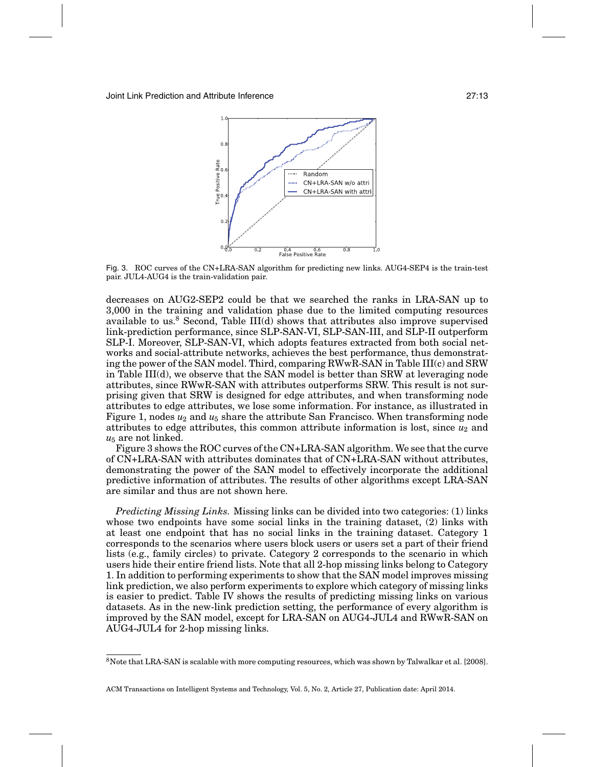

Fig. 3. ROC curves of the CN+LRA-SAN algorithm for predicting new links. AUG4-SEP4 is the train-test pair. JUL4-AUG4 is the train-validation pair.

decreases on AUG2-SEP2 could be that we searched the ranks in LRA-SAN up to 3,000 in the training and validation phase due to the limited computing resources available to us.<sup>8</sup> Second, Table III(d) shows that attributes also improve supervised link-prediction performance, since SLP-SAN-VI, SLP-SAN-III, and SLP-II outperform SLP-I. Moreover, SLP-SAN-VI, which adopts features extracted from both social networks and social-attribute networks, achieves the best performance, thus demonstrating the power of the SAN model. Third, comparing RWwR-SAN in Table III(c) and SRW in Table III(d), we observe that the SAN model is better than SRW at leveraging node attributes, since RWwR-SAN with attributes outperforms SRW. This result is not surprising given that SRW is designed for edge attributes, and when transforming node attributes to edge attributes, we lose some information. For instance, as illustrated in Figure 1, nodes  $u_2$  and  $u_5$  share the attribute San Francisco. When transforming node attributes to edge attributes, this common attribute information is lost, since  $u_2$  and *u*<sup>5</sup> are not linked.

Figure 3 shows the ROC curves of the CN+LRA-SAN algorithm. We see that the curve of CN+LRA-SAN with attributes dominates that of CN+LRA-SAN without attributes, demonstrating the power of the SAN model to effectively incorporate the additional predictive information of attributes. The results of other algorithms except LRA-SAN are similar and thus are not shown here.

*Predicting Missing Links.* Missing links can be divided into two categories: (1) links whose two endpoints have some social links in the training dataset, (2) links with at least one endpoint that has no social links in the training dataset. Category 1 corresponds to the scenarios where users block users or users set a part of their friend lists (e.g., family circles) to private. Category 2 corresponds to the scenario in which users hide their entire friend lists. Note that all 2-hop missing links belong to Category 1. In addition to performing experiments to show that the SAN model improves missing link prediction, we also perform experiments to explore which category of missing links is easier to predict. Table IV shows the results of predicting missing links on various datasets. As in the new-link prediction setting, the performance of every algorithm is improved by the SAN model, except for LRA-SAN on AUG4-JUL4 and RWwR-SAN on AUG4-JUL4 for 2-hop missing links.

 $8N$ ote that LRA-SAN is scalable with more computing resources, which was shown by Talwalkar et al. [2008].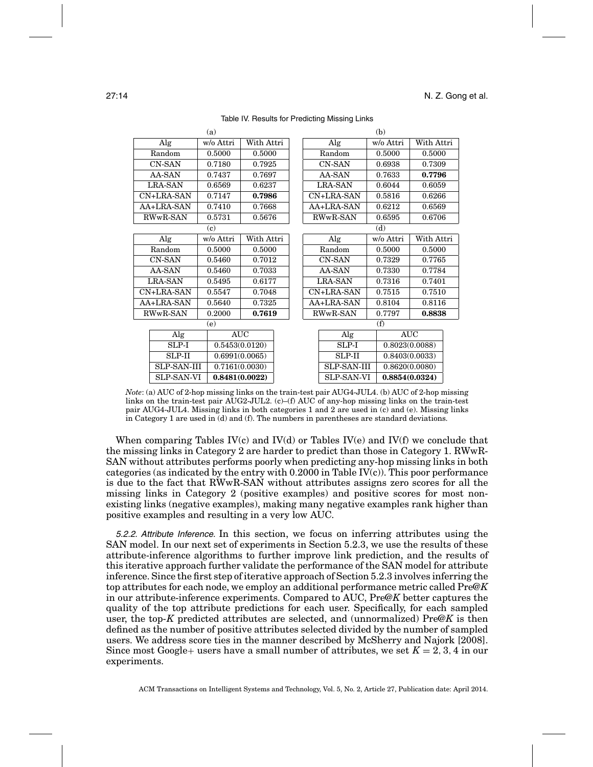|     |                    | (a)                        |                |  |        |                    |  | (b)            |                |  |
|-----|--------------------|----------------------------|----------------|--|--------|--------------------|--|----------------|----------------|--|
|     | Alg                | w/o Attri                  | With Attri     |  |        | Alg                |  | w/o Attri      | With Attri     |  |
|     | Random             | 0.5000                     | 0.5000         |  | Random |                    |  | 0.5000         | 0.5000         |  |
|     | CN-SAN             | 0.7180                     | 0.7925         |  |        | CN-SAN             |  | 0.6938         | 0.7309         |  |
|     | AA-SAN             | 0.7437                     | 0.7697         |  |        | AA-SAN             |  | 0.7633         | 0.7796         |  |
|     | <b>LRA-SAN</b>     | 0.6569                     | 0.6237         |  |        | <b>LRA-SAN</b>     |  | 0.6044         | 0.6059         |  |
|     | CN+LRA-SAN         | 0.7147                     | 0.7986         |  |        | CN+LRA-SAN         |  | 0.5816         | 0.6266         |  |
|     | AA+LRA-SAN         | 0.7410                     | 0.7668         |  |        | AA+LRA-SAN         |  | 0.6212         | 0.6569         |  |
|     | RWwR-SAN           | 0.5731                     | 0.5676         |  |        | RWwR-SAN           |  | 0.6595         | 0.6706         |  |
|     |                    | $\left( \mathrm{c}\right)$ |                |  |        |                    |  | (d)            |                |  |
|     | Alg                | w/o Attri                  | With Attri     |  |        | Alg                |  | w/o Attri      | With Attri     |  |
|     | Random             | 0.5000                     | 0.5000         |  |        | Random             |  | 0.5000         | 0.5000         |  |
|     | CN-SAN             | 0.5460                     | 0.7012         |  |        | CN-SAN             |  | 0.7329         | 0.7765         |  |
|     | AA-SAN             | 0.5460                     | 0.7033         |  |        | AA-SAN             |  | 0.7330         | 0.7784         |  |
|     | <b>LRA-SAN</b>     | 0.5495                     | 0.6177         |  |        | <b>LRA-SAN</b>     |  | 0.7316         | 0.7401         |  |
|     | CN+LRA-SAN         | 0.5547                     | 0.7048         |  |        | CN+LRA-SAN         |  | 0.7515         | 0.7510         |  |
|     | AA+LRA-SAN         | 0.5640                     | 0.7325         |  |        | AA+LRA-SAN         |  | 0.8104         | 0.8116         |  |
|     | RWwR-SAN           | 0.2000                     | 0.7619         |  |        | RWwR-SAN           |  | 0.7797         | 0.8838         |  |
| (e) |                    |                            |                |  |        |                    |  | (f)            |                |  |
|     | Alg                |                            | <b>AUC</b>     |  |        | Alg                |  | <b>AUC</b>     |                |  |
|     | SLP-I              |                            | 0.5453(0.0120) |  |        | SLP-I              |  |                | 0.8023(0.0088) |  |
|     | SLP-II             |                            | 0.6991(0.0065) |  |        | $SLP-II$           |  |                | 0.8403(0.0033) |  |
|     | <b>SLP-SAN-III</b> |                            | 0.7161(0.0030) |  |        | <b>SLP-SAN-III</b> |  |                | 0.8620(0.0080) |  |
|     | <b>SLP-SAN-VI</b>  |                            | 0.8481(0.0022) |  |        | <b>SLP-SAN-VI</b>  |  | 0.8854(0.0324) |                |  |

Table IV. Results for Predicting Missing Links

*Note*: (a) AUC of 2-hop missing links on the train-test pair AUG4-JUL4. (b) AUC of 2-hop missing links on the train-test pair AUG2-JUL2. (c)–(f) AUC of any-hop missing links on the train-test pair AUG4-JUL4. Missing links in both categories 1 and 2 are used in (c) and (e). Missing links in Category 1 are used in (d) and (f). The numbers in parentheses are standard deviations.

When comparing Tables IV(c) and IV(d) or Tables IV(e) and IV(f) we conclude that the missing links in Category 2 are harder to predict than those in Category 1. RWwR-SAN without attributes performs poorly when predicting any-hop missing links in both categories (as indicated by the entry with 0.2000 in Table IV(c)). This poor performance is due to the fact that RWwR-SAN without attributes assigns zero scores for all the missing links in Category 2 (positive examples) and positive scores for most nonexisting links (negative examples), making many negative examples rank higher than positive examples and resulting in a very low AUC.

5.2.2. Attribute Inference. In this section, we focus on inferring attributes using the SAN model. In our next set of experiments in Section 5.2.3, we use the results of these attribute-inference algorithms to further improve link prediction, and the results of this iterative approach further validate the performance of the SAN model for attribute inference. Since the first step of iterative approach of Section 5.2.3 involves inferring the top attributes for each node, we employ an additional performance metric called Pre@*K* in our attribute-inference experiments. Compared to AUC, Pre@*K* better captures the quality of the top attribute predictions for each user. Specifically, for each sampled user, the top-*K* predicted attributes are selected, and (unnormalized) Pre@*K* is then defined as the number of positive attributes selected divided by the number of sampled users. We address score ties in the manner described by McSherry and Najork [2008]. Since most Google+ users have a small number of attributes, we set  $K = 2, 3, 4$  in our experiments.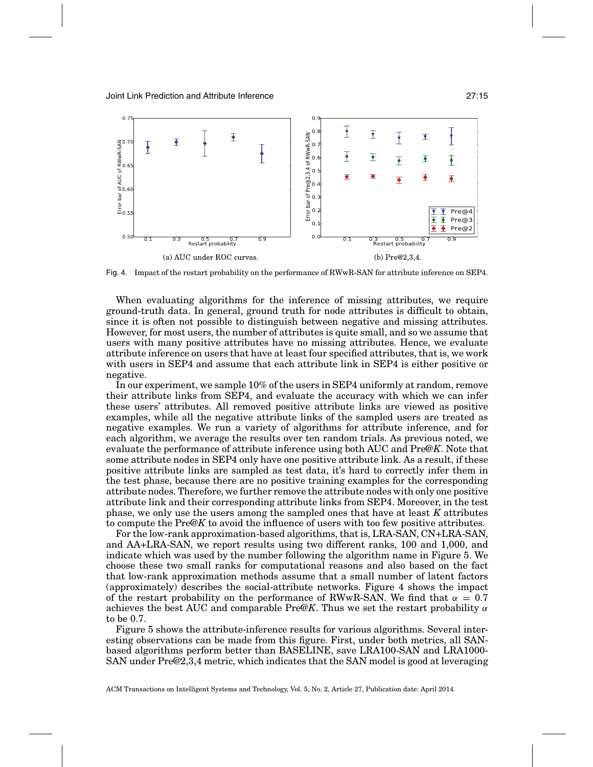

Fig. 4. Impact of the restart probability on the performance of RWwR-SAN for attribute inference on SEP4.

When evaluating algorithms for the inference of missing attributes, we require ground-truth data. In general, ground truth for node attributes is difficult to obtain, since it is often not possible to distinguish between negative and missing attributes. However, for most users, the number of attributes is quite small, and so we assume that users with many positive attributes have no missing attributes. Hence, we evaluate attribute inference on users that have at least four specified attributes, that is, we work with users in SEP4 and assume that each attribute link in SEP4 is either positive or negative.

In our experiment, we sample 10% of the users in SEP4 uniformly at random, remove their attribute links from SEP4, and evaluate the accuracy with which we can infer these users' attributes. All removed positive attribute links are viewed as positive examples, while all the negative attribute links of the sampled users are treated as negative examples. We run a variety of algorithms for attribute inference, and for each algorithm, we average the results over ten random trials. As previous noted, we evaluate the performance of attribute inference using both AUC and Pre@*K*. Note that some attribute nodes in SEP4 only have one positive attribute link. As a result, if these positive attribute links are sampled as test data, it's hard to correctly infer them in the test phase, because there are no positive training examples for the corresponding attribute nodes. Therefore, we further remove the attribute nodes with only one positive attribute link and their corresponding attribute links from SEP4. Moreover, in the test phase, we only use the users among the sampled ones that have at least *K* attributes to compute the Pre@*K* to avoid the influence of users with too few positive attributes.

For the low-rank approximation-based algorithms, that is, LRA-SAN, CN+LRA-SAN, and AA+LRA-SAN, we report results using two different ranks, 100 and 1,000, and indicate which was used by the number following the algorithm name in Figure 5. We choose these two small ranks for computational reasons and also based on the fact that low-rank approximation methods assume that a small number of latent factors (approximately) describes the social-attribute networks. Figure 4 shows the impact of the restart probability on the performance of RWwR-SAN. We find that  $\alpha = 0.7$ achieves the best AUC and comparable Pre $@K$ . Thus we set the restart probability  $\alpha$ to be 0.7.

Figure 5 shows the attribute-inference results for various algorithms. Several interesting observations can be made from this figure. First, under both metrics, all SANbased algorithms perform better than BASELINE, save LRA100-SAN and LRA1000- SAN under Pre@2,3,4 metric, which indicates that the SAN model is good at leveraging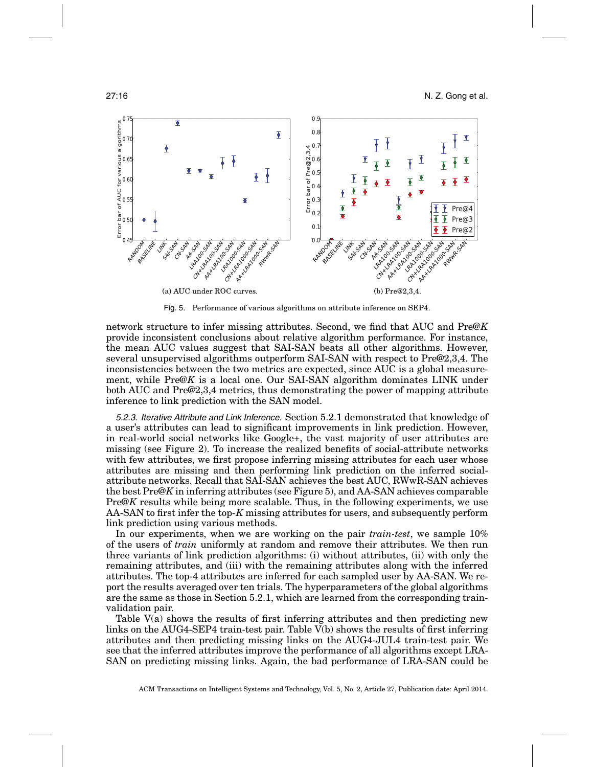

Fig. 5. Performance of various algorithms on attribute inference on SEP4.

network structure to infer missing attributes. Second, we find that AUC and Pre@*K* provide inconsistent conclusions about relative algorithm performance. For instance, the mean AUC values suggest that SAI-SAN beats all other algorithms. However, several unsupervised algorithms outperform SAI-SAN with respect to Pre@2,3,4. The inconsistencies between the two metrics are expected, since AUC is a global measurement, while Pre@*K* is a local one. Our SAI-SAN algorithm dominates LINK under both AUC and Pre@2,3,4 metrics, thus demonstrating the power of mapping attribute inference to link prediction with the SAN model.

5.2.3. Iterative Attribute and Link Inference. Section 5.2.1 demonstrated that knowledge of a user's attributes can lead to significant improvements in link prediction. However, in real-world social networks like Google+, the vast majority of user attributes are missing (see Figure 2). To increase the realized benefits of social-attribute networks with few attributes, we first propose inferring missing attributes for each user whose attributes are missing and then performing link prediction on the inferred socialattribute networks. Recall that SAI-SAN achieves the best AUC, RWwR-SAN achieves the best Pre@*K* in inferring attributes (see Figure 5), and AA-SAN achieves comparable Pre@*K* results while being more scalable. Thus, in the following experiments, we use AA-SAN to first infer the top-*K* missing attributes for users, and subsequently perform link prediction using various methods.

In our experiments, when we are working on the pair *train-test*, we sample 10% of the users of *train* uniformly at random and remove their attributes. We then run three variants of link prediction algorithms: (i) without attributes, (ii) with only the remaining attributes, and (iii) with the remaining attributes along with the inferred attributes. The top-4 attributes are inferred for each sampled user by AA-SAN. We report the results averaged over ten trials. The hyperparameters of the global algorithms are the same as those in Section 5.2.1, which are learned from the corresponding trainvalidation pair.

Table V(a) shows the results of first inferring attributes and then predicting new links on the AUG4-SEP4 train-test pair. Table V(b) shows the results of first inferring attributes and then predicting missing links on the AUG4-JUL4 train-test pair. We see that the inferred attributes improve the performance of all algorithms except LRA-SAN on predicting missing links. Again, the bad performance of LRA-SAN could be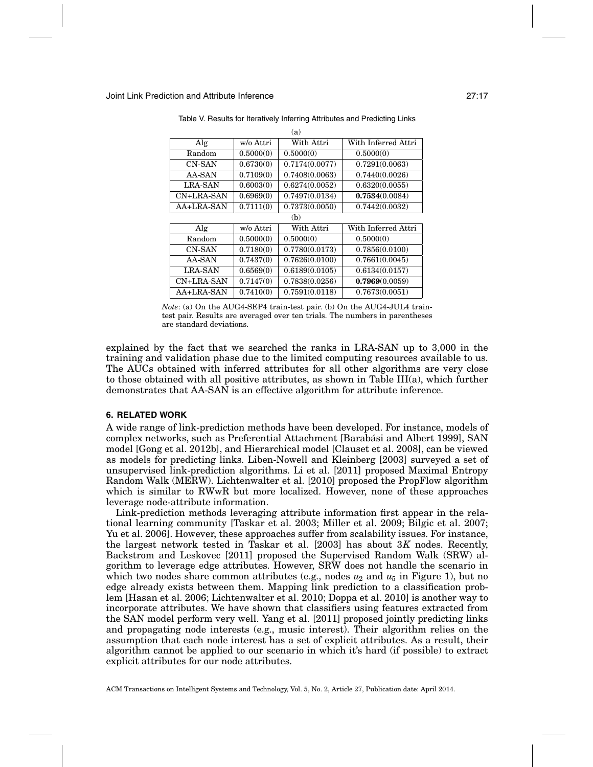| w/o Attri | With Attri     | With Inferred Attri |  |  |  |  |
|-----------|----------------|---------------------|--|--|--|--|
| 0.5000(0) | 0.5000(0)      | 0.5000(0)           |  |  |  |  |
| 0.6730(0) | 0.7174(0.0077) | 0.7291(0.0063)      |  |  |  |  |
| 0.7109(0) | 0.7408(0.0063) | 0.7440(0.0026)      |  |  |  |  |
| 0.6003(0) | 0.6274(0.0052) | 0.6320(0.0055)      |  |  |  |  |
| 0.6969(0) | 0.7497(0.0134) | 0.7534(0.0084)      |  |  |  |  |
| 0.7111(0) | 0.7373(0.0050) | 0.7442(0.0032)      |  |  |  |  |
| (b)       |                |                     |  |  |  |  |
| w/o Attri | With Attri     | With Inferred Attri |  |  |  |  |
| 0.5000(0) | 0.5000(0)      | 0.5000(0)           |  |  |  |  |
| 0.7180(0) | 0.7780(0.0173) | 0.7856(0.0100)      |  |  |  |  |
| 0.7437(0) | 0.7626(0.0100) | 0.7661(0.0045)      |  |  |  |  |
| 0.6569(0) | 0.6189(0.0105) | 0.6134(0.0157)      |  |  |  |  |
| 0.7147(0) | 0.7838(0.0256) | 0.7969(0.0059)      |  |  |  |  |
| 0.7410(0) | 0.7591(0.0118) | 0.7673(0.0051)      |  |  |  |  |
|           |                | (a)                 |  |  |  |  |

Table V. Results for Iteratively Inferring Attributes and Predicting Links  $(4)$ 

*Note*: (a) On the AUG4-SEP4 train-test pair. (b) On the AUG4-JUL4 traintest pair. Results are averaged over ten trials. The numbers in parentheses are standard deviations.

explained by the fact that we searched the ranks in LRA-SAN up to 3,000 in the training and validation phase due to the limited computing resources available to us. The AUCs obtained with inferred attributes for all other algorithms are very close to those obtained with all positive attributes, as shown in Table III(a), which further demonstrates that AA-SAN is an effective algorithm for attribute inference.

### **6. RELATED WORK**

A wide range of link-prediction methods have been developed. For instance, models of complex networks, such as Preferential Attachment [Barabási and Albert 1999], SAN model [Gong et al. 2012b], and Hierarchical model [Clauset et al. 2008], can be viewed as models for predicting links. Liben-Nowell and Kleinberg [2003] surveyed a set of unsupervised link-prediction algorithms. Li et al. [2011] proposed Maximal Entropy Random Walk (MERW). Lichtenwalter et al. [2010] proposed the PropFlow algorithm which is similar to RWwR but more localized. However, none of these approaches leverage node-attribute information.

Link-prediction methods leveraging attribute information first appear in the relational learning community [Taskar et al. 2003; Miller et al. 2009; Bilgic et al. 2007; Yu et al. 2006]. However, these approaches suffer from scalability issues. For instance, the largest network tested in Taskar et al. [2003] has about 3*K* nodes. Recently, Backstrom and Leskovec [2011] proposed the Supervised Random Walk (SRW) algorithm to leverage edge attributes. However, SRW does not handle the scenario in which two nodes share common attributes (e.g., nodes  $u_2$  and  $u_5$  in Figure 1), but no edge already exists between them. Mapping link prediction to a classification problem [Hasan et al. 2006; Lichtenwalter et al. 2010; Doppa et al. 2010] is another way to incorporate attributes. We have shown that classifiers using features extracted from the SAN model perform very well. Yang et al. [2011] proposed jointly predicting links and propagating node interests (e.g., music interest). Their algorithm relies on the assumption that each node interest has a set of explicit attributes. As a result, their algorithm cannot be applied to our scenario in which it's hard (if possible) to extract explicit attributes for our node attributes.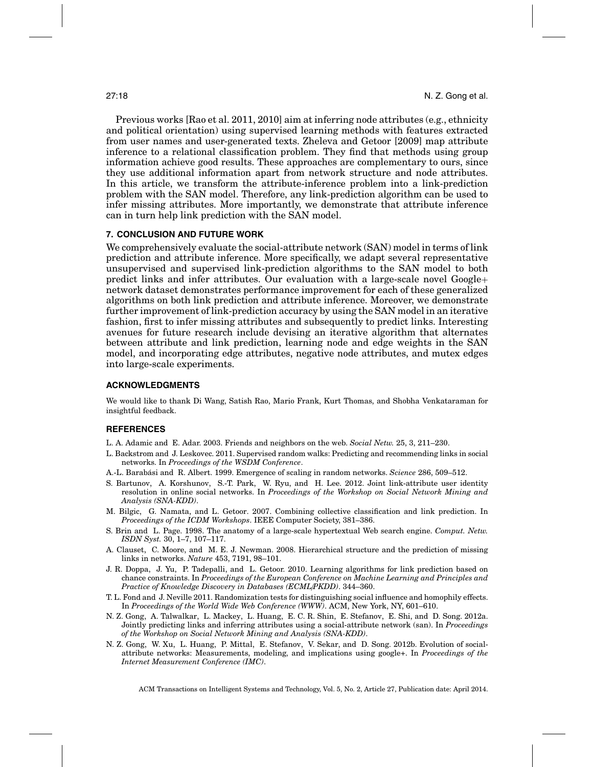Previous works [Rao et al. 2011, 2010] aim at inferring node attributes (e.g., ethnicity and political orientation) using supervised learning methods with features extracted from user names and user-generated texts. Zheleva and Getoor [2009] map attribute inference to a relational classification problem. They find that methods using group information achieve good results. These approaches are complementary to ours, since they use additional information apart from network structure and node attributes. In this article, we transform the attribute-inference problem into a link-prediction problem with the SAN model. Therefore, any link-prediction algorithm can be used to infer missing attributes. More importantly, we demonstrate that attribute inference can in turn help link prediction with the SAN model.

# **7. CONCLUSION AND FUTURE WORK**

We comprehensively evaluate the social-attribute network (SAN) model in terms of link prediction and attribute inference. More specifically, we adapt several representative unsupervised and supervised link-prediction algorithms to the SAN model to both predict links and infer attributes. Our evaluation with a large-scale novel Google+ network dataset demonstrates performance improvement for each of these generalized algorithms on both link prediction and attribute inference. Moreover, we demonstrate further improvement of link-prediction accuracy by using the SAN model in an iterative fashion, first to infer missing attributes and subsequently to predict links. Interesting avenues for future research include devising an iterative algorithm that alternates between attribute and link prediction, learning node and edge weights in the SAN model, and incorporating edge attributes, negative node attributes, and mutex edges into large-scale experiments.

# **ACKNOWLEDGMENTS**

We would like to thank Di Wang, Satish Rao, Mario Frank, Kurt Thomas, and Shobha Venkataraman for insightful feedback.

## **REFERENCES**

- L. A. Adamic and E. Adar. 2003. Friends and neighbors on the web. *Social Netw.* 25, 3, 211–230.
- L. Backstrom and J. Leskovec. 2011. Supervised random walks: Predicting and recommending links in social networks. In *Proceedings of the WSDM Conference*.
- A.-L. Barabási and R. Albert. 1999. Emergence of scaling in random networks. Science 286, 509-512.
- S. Bartunov, A. Korshunov, S.-T. Park, W. Ryu, and H. Lee. 2012. Joint link-attribute user identity resolution in online social networks. In *Proceedings of the Workshop on Social Network Mining and Analysis (SNA-KDD)*.
- M. Bilgic, G. Namata, and L. Getoor. 2007. Combining collective classification and link prediction. In *Proceedings of the ICDM Workshops*. IEEE Computer Society, 381–386.
- S. Brin and L. Page. 1998. The anatomy of a large-scale hypertextual Web search engine. *Comput. Netw. ISDN Syst.* 30, 1–7, 107–117.
- A. Clauset, C. Moore, and M. E. J. Newman. 2008. Hierarchical structure and the prediction of missing links in networks. *Nature* 453, 7191, 98–101.
- J. R. Doppa, J. Yu, P. Tadepalli, and L. Getoor. 2010. Learning algorithms for link prediction based on chance constraints. In *Proceedings of the European Conference on Machine Learning and Principles and Practice of Knowledge Discovery in Databases (ECML*/*PKDD)*. 344–360.
- T. L. Fond and J. Neville 2011. Randomization tests for distinguishing social influence and homophily effects. In *Proceedings of the World Wide Web Conference (WWW)*. ACM, New York, NY, 601–610.
- N. Z. Gong, A. Talwalkar, L. Mackey, L. Huang, E. C. R. Shin, E. Stefanov, E. Shi, and D. Song. 2012a. Jointly predicting links and inferring attributes using a social-attribute network (san). In *Proceedings of the Workshop on Social Network Mining and Analysis (SNA-KDD)*.
- N. Z. Gong, W. Xu, L. Huang, P. Mittal, E. Stefanov, V. Sekar, and D. Song. 2012b. Evolution of socialattribute networks: Measurements, modeling, and implications using google+. In *Proceedings of the Internet Measurement Conference (IMC)*.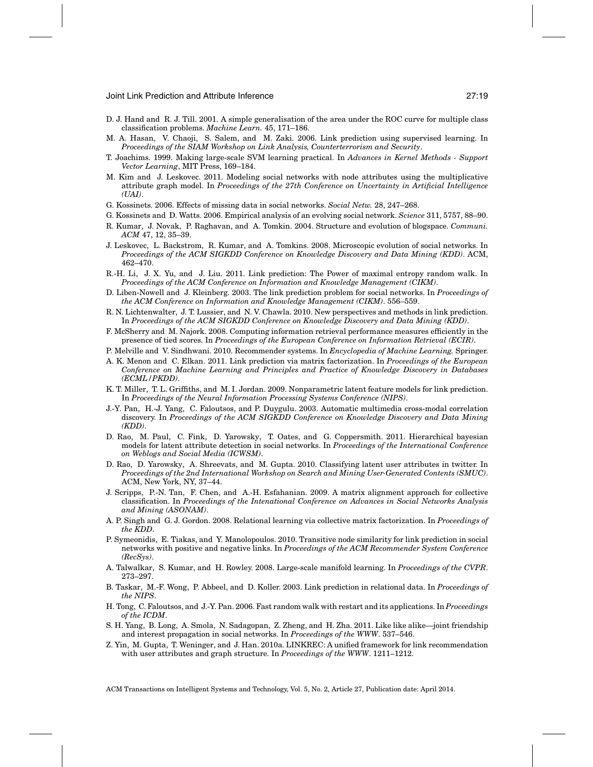- D. J. Hand and R. J. Till. 2001. A simple generalisation of the area under the ROC curve for multiple class classification problems. *Machine Learn.* 45, 171–186.
- M. A. Hasan, V. Chaoji, S. Salem, and M. Zaki. 2006. Link prediction using supervised learning. In *Proceedings of the SIAM Workshop on Link Analysis, Counterterrorism and Security*.
- T. Joachims. 1999. Making large-scale SVM learning practical. In *Advances in Kernel Methods Support Vector Learning*, MIT Press, 169–184.
- M. Kim and J. Leskovec. 2011. Modeling social networks with node attributes using the multiplicative attribute graph model. In *Proceedings of the 27th Conference on Uncertainty in Artificial Intelligence (UAI)*.
- G. Kossinets. 2006. Effects of missing data in social networks. *Social Netw.* 28, 247–268.
- G. Kossinets and D. Watts. 2006. Empirical analysis of an evolving social network. *Science* 311, 5757, 88–90.
- R. Kumar, J. Novak, P. Raghavan, and A. Tomkin. 2004. Structure and evolution of blogspace. *Communi. ACM* 47, 12, 35–39.
- J. Leskovec, L. Backstrom, R. Kumar, and A. Tomkins. 2008. Microscopic evolution of social networks. In *Proceedings of the ACM SIGKDD Conference on Knowledge Discovery and Data Mining (KDD)*. ACM, 462–470.
- R.-H. Li, J. X. Yu, and J. Liu. 2011. Link prediction: The Power of maximal entropy random walk. In *Proceedings of the ACM Conference on Information and Knowledge Management (CIKM)*.
- D. Liben-Nowell and J. Kleinberg. 2003. The link prediction problem for social networks. In *Proceedings of the ACM Conference on Information and Knowledge Management (CIKM)*. 556–559.
- R. N. Lichtenwalter, J. T. Lussier, and N. V. Chawla. 2010. New perspectives and methods in link prediction. In *Proceedings of the ACM SIGKDD Conference on Knowledge Discovery and Data Mining (KDD)*.
- F. McSherry and M. Najork. 2008. Computing information retrieval performance measures efficiently in the presence of tied scores. In *Proceedings of the European Conference on Information Retrieval (ECIR)*.
- P. Melville and V. Sindhwani. 2010. Recommender systems. In *Encyclopedia of Machine Learning.* Springer.
- A. K. Menon and C. Elkan. 2011. Link prediction via matrix factorization. In *Proceedings of the European Conference on Machine Learning and Principles and Practice of Knowledge Discovery in Databases (ECML/PKDD)*.
- K. T. Miller, T. L. Griffiths, and M. I. Jordan. 2009. Nonparametric latent feature models for link prediction. In *Proceedings of the Neural Information Processing Systems Conference (NIPS)*.
- J.-Y. Pan, H.-J. Yang, C. Faloutsos, and P. Duygulu. 2003. Automatic multimedia cross-modal correlation discovery. In *Proceedings of the ACM SIGKDD Conference on Knowledge Discovery and Data Mining (KDD)*.
- D. Rao, M. Paul, C. Fink, D. Yarowsky, T. Oates, and G. Coppersmith. 2011. Hierarchical bayesian models for latent attribute detection in social networks. In *Proceedings of the International Conference on Weblogs and Social Media (ICWSM)*.
- D. Rao, D. Yarowsky, A. Shreevats, and M. Gupta. 2010. Classifying latent user attributes in twitter. In *Proceedings of the 2nd International Workshop on Search and Mining User-Generated Contents (SMUC)*. ACM, New York, NY, 37–44.
- J. Scripps, P.-N. Tan, F. Chen, and A.-H. Esfahanian. 2009. A matrix alignment approach for collective classification. In *Proceedings of the Intenational Conference on Advances in Social Networks Analysis and Mining (ASONAM)*.
- A. P. Singh and G. J. Gordon. 2008. Relational learning via collective matrix factorization. In *Proceedings of the KDD*.
- P. Symeonidis, E. Tiakas, and Y. Manolopoulos. 2010. Transitive node similarity for link prediction in social networks with positive and negative links. In *Proceedings of the ACM Recommender System Conference (RecSys)*.
- A. Talwalkar, S. Kumar, and H. Rowley. 2008. Large-scale manifold learning. In *Proceedings of the CVPR*. 273–297.
- B. Taskar, M.-F. Wong, P. Abbeel, and D. Koller. 2003. Link prediction in relational data. In *Proceedings of the NIPS*.
- H. Tong, C. Faloutsos, and J.-Y. Pan. 2006. Fast random walk with restart and its applications. In *Proceedings of the ICDM*.
- S. H. Yang, B. Long, A. Smola, N. Sadagopan, Z. Zheng, and H. Zha. 2011. Like like alike—joint friendship and interest propagation in social networks. In *Proceedings of the WWW*. 537–546.
- Z. Yin, M. Gupta, T. Weninger, and J. Han. 2010a. LINKREC: A unified framework for link recommendation with user attributes and graph structure. In *Proceedings of the WWW*. 1211–1212.